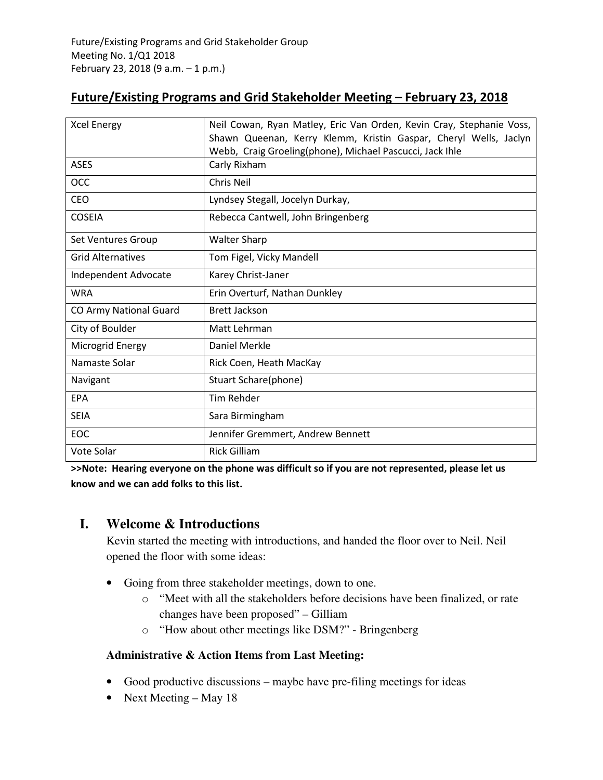# **Future/Existing Programs and Grid Stakeholder Meeting – February 23, 2018**

| <b>Xcel Energy</b>            | Neil Cowan, Ryan Matley, Eric Van Orden, Kevin Cray, Stephanie Voss, |
|-------------------------------|----------------------------------------------------------------------|
|                               | Shawn Queenan, Kerry Klemm, Kristin Gaspar, Cheryl Wells, Jaclyn     |
|                               | Webb, Craig Groeling(phone), Michael Pascucci, Jack Ihle             |
| <b>ASES</b>                   | Carly Rixham                                                         |
| OCC                           | Chris Neil                                                           |
| CEO                           | Lyndsey Stegall, Jocelyn Durkay,                                     |
| <b>COSEIA</b>                 | Rebecca Cantwell, John Bringenberg                                   |
| Set Ventures Group            | <b>Walter Sharp</b>                                                  |
| <b>Grid Alternatives</b>      | Tom Figel, Vicky Mandell                                             |
| Independent Advocate          | Karey Christ-Janer                                                   |
| <b>WRA</b>                    | Erin Overturf, Nathan Dunkley                                        |
| <b>CO Army National Guard</b> | <b>Brett Jackson</b>                                                 |
| City of Boulder               | Matt Lehrman                                                         |
| Microgrid Energy              | Daniel Merkle                                                        |
| Namaste Solar                 | Rick Coen, Heath MacKay                                              |
| Navigant                      | Stuart Schare(phone)                                                 |
| <b>EPA</b>                    | <b>Tim Rehder</b>                                                    |
| <b>SEIA</b>                   | Sara Birmingham                                                      |
| EOC                           | Jennifer Gremmert, Andrew Bennett                                    |
| Vote Solar                    | <b>Rick Gilliam</b>                                                  |

**>>Note: Hearing everyone on the phone was difficult so if you are not represented, please let us know and we can add folks to this list.** 

# **I. Welcome & Introductions**

Kevin started the meeting with introductions, and handed the floor over to Neil. Neil opened the floor with some ideas:

- Going from three stakeholder meetings, down to one.
	- o "Meet with all the stakeholders before decisions have been finalized, or rate changes have been proposed" – Gilliam
	- o "How about other meetings like DSM?" Bringenberg

# **Administrative & Action Items from Last Meeting:**

- Good productive discussions maybe have pre-filing meetings for ideas
- Next Meeting May 18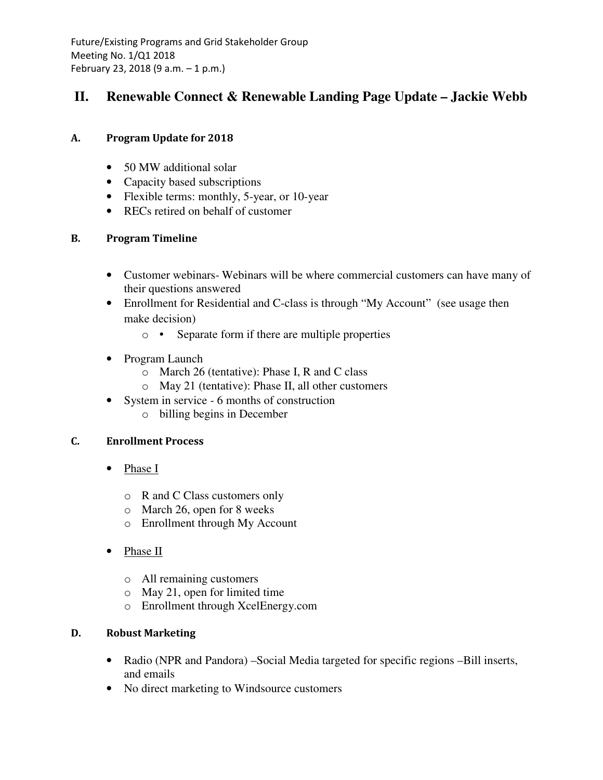# **II. Renewable Connect & Renewable Landing Page Update – Jackie Webb**

# **A. Program Update for 2018**

- 50 MW additional solar
- Capacity based subscriptions
- Flexible terms: monthly, 5-year, or 10-year
- RECs retired on behalf of customer

# **B. Program Timeline**

- Customer webinars- Webinars will be where commercial customers can have many of their questions answered
- Enrollment for Residential and C-class is through "My Account" (see usage then make decision)
	- o Separate form if there are multiple properties
- Program Launch
	- o March 26 (tentative): Phase I, R and C class
	- o May 21 (tentative): Phase II, all other customers
- System in service 6 months of construction
	- o billing begins in December

# **C. Enrollment Process**

- Phase I
	- o R and C Class customers only
	- o March 26, open for 8 weeks
	- o Enrollment through My Account
- Phase II
	- o All remaining customers
	- o May 21, open for limited time
	- o Enrollment through XcelEnergy.com

# **D. Robust Marketing**

- Radio (NPR and Pandora) –Social Media targeted for specific regions –Bill inserts, and emails
- No direct marketing to Windsource customers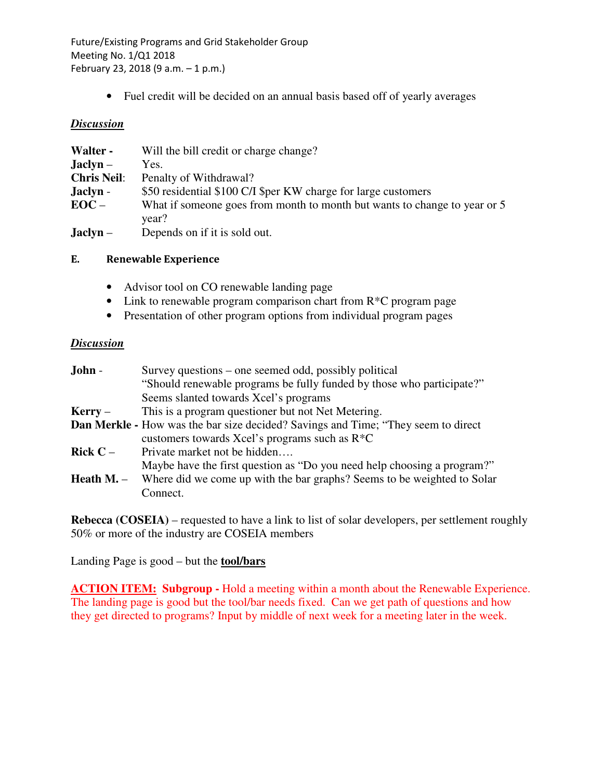• Fuel credit will be decided on an annual basis based off of yearly averages

#### *Discussion*

| Walter -           | Will the bill credit or charge change?                                             |
|--------------------|------------------------------------------------------------------------------------|
| $Jachyn -$         | Yes.                                                                               |
| <b>Chris Neil:</b> | Penalty of Withdrawal?                                                             |
| Jaclyn -           | \$50 residential \$100 C/I \$per KW charge for large customers                     |
| $EOC -$            | What if someone goes from month to month but wants to change to year or 5<br>year? |
| $Jachyn -$         | Depends on if it is sold out.                                                      |

#### **E. Renewable Experience**

- Advisor tool on CO renewable landing page
- Link to renewable program comparison chart from R<sup>\*</sup>C program page
- Presentation of other program options from individual program pages

### *Discussion*

| John -                                                                                   | Survey questions – one seemed odd, possibly political                                     |  |
|------------------------------------------------------------------------------------------|-------------------------------------------------------------------------------------------|--|
|                                                                                          | "Should renewable programs be fully funded by those who participate?"                     |  |
|                                                                                          | Seems slanted towards Xcel's programs                                                     |  |
| $Kerry -$                                                                                | This is a program questioner but not Net Metering.                                        |  |
| <b>Dan Merkle - How was the bar size decided? Savings and Time; "They seem to direct</b> |                                                                                           |  |
|                                                                                          | customers towards Xcel's programs such as $R^*C$                                          |  |
| Rick $C -$                                                                               | Private market not be hidden                                                              |  |
|                                                                                          | Maybe have the first question as "Do you need help choosing a program?"                   |  |
|                                                                                          | <b>Heath M.</b> – Where did we come up with the bar graphs? Seems to be weighted to Solar |  |
|                                                                                          | Connect.                                                                                  |  |
|                                                                                          |                                                                                           |  |

**Rebecca (COSEIA)** – requested to have a link to list of solar developers, per settlement roughly 50% or more of the industry are COSEIA members

Landing Page is good – but the **tool/bars**

**ACTION ITEM: Subgroup - Hold a meeting within a month about the Renewable Experience.** The landing page is good but the tool/bar needs fixed. Can we get path of questions and how they get directed to programs? Input by middle of next week for a meeting later in the week.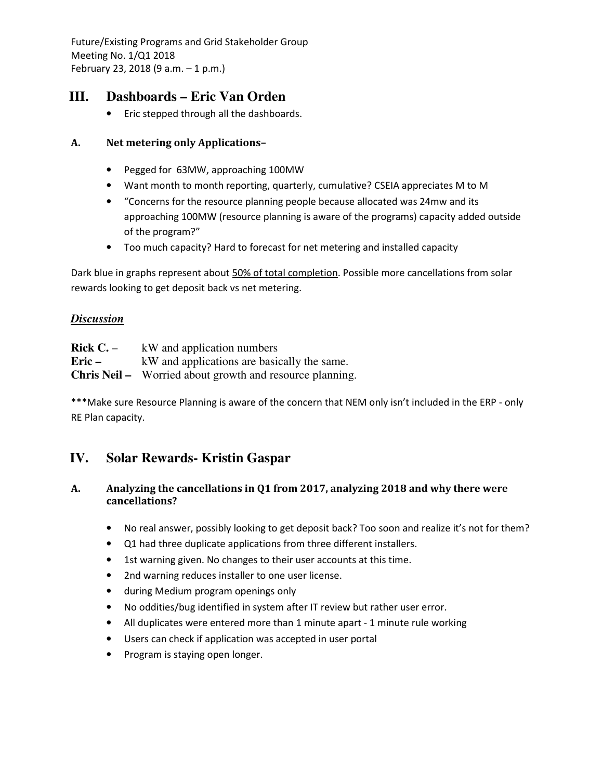# **III. Dashboards – Eric Van Orden**

• Eric stepped through all the dashboards.

### **A. Net metering only Applications–**

- Pegged for 63MW, approaching 100MW
- Want month to month reporting, quarterly, cumulative? CSEIA appreciates M to M
- "Concerns for the resource planning people because allocated was 24mw and its approaching 100MW (resource planning is aware of the programs) capacity added outside of the program?"
- Too much capacity? Hard to forecast for net metering and installed capacity

Dark blue in graphs represent about 50% of total completion. Possible more cancellations from solar rewards looking to get deposit back vs net metering.

### *Discussion*

| Rick $C$ . $-$ | kW and application numbers                                      |
|----------------|-----------------------------------------------------------------|
| Eric –         | kW and applications are basically the same.                     |
|                | <b>Chris Neil –</b> Worried about growth and resource planning. |

\*\*\*Make sure Resource Planning is aware of the concern that NEM only isn't included in the ERP - only RE Plan capacity.

# **IV. Solar Rewards- Kristin Gaspar**

### **A. Analyzing the cancellations in Q1 from 2017, analyzing 2018 and why there were cancellations?**

- No real answer, possibly looking to get deposit back? Too soon and realize it's not for them?
- Q1 had three duplicate applications from three different installers.
- 1st warning given. No changes to their user accounts at this time.
- 2nd warning reduces installer to one user license.
- during Medium program openings only
- No oddities/bug identified in system after IT review but rather user error.
- All duplicates were entered more than 1 minute apart 1 minute rule working
- Users can check if application was accepted in user portal
- Program is staying open longer.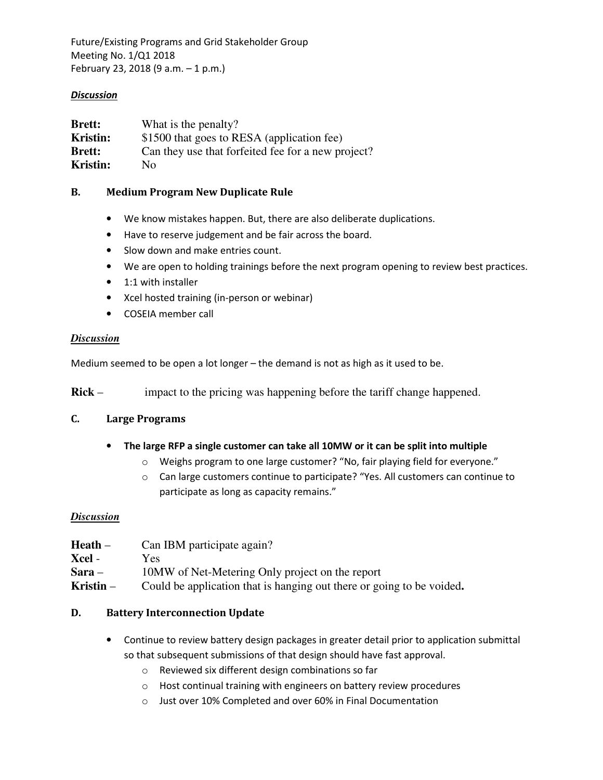#### *Discussion*

| <b>Brett:</b>   | What is the penalty?                               |
|-----------------|----------------------------------------------------|
| Kristin:        | \$1500 that goes to RESA (application fee)         |
| <b>Brett:</b>   | Can they use that forfeited fee for a new project? |
| <b>Kristin:</b> | No.                                                |

#### **B. Medium Program New Duplicate Rule**

- We know mistakes happen. But, there are also deliberate duplications.
- Have to reserve judgement and be fair across the board.
- Slow down and make entries count.
- We are open to holding trainings before the next program opening to review best practices.
- 1:1 with installer
- Xcel hosted training (in-person or webinar)
- COSEIA member call

#### *Discussion*

Medium seemed to be open a lot longer – the demand is not as high as it used to be.

**Rick** – impact to the pricing was happening before the tariff change happened.

#### **C. Large Programs**

- **The large RFP a single customer can take all 10MW or it can be split into multiple** 
	- o Weighs program to one large customer? "No, fair playing field for everyone."
	- o Can large customers continue to participate? "Yes. All customers can continue to participate as long as capacity remains."

#### *Discussion*

| Heath –   | Can IBM participate again?                                            |
|-----------|-----------------------------------------------------------------------|
| Xcel -    | Yes:                                                                  |
| Sara –    | 10MW of Net-Metering Only project on the report                       |
| Kristin – | Could be application that is hanging out there or going to be voided. |

#### **D. Battery Interconnection Update**

- Continue to review battery design packages in greater detail prior to application submittal so that subsequent submissions of that design should have fast approval.
	- o Reviewed six different design combinations so far
	- o Host continual training with engineers on battery review procedures
	- o Just over 10% Completed and over 60% in Final Documentation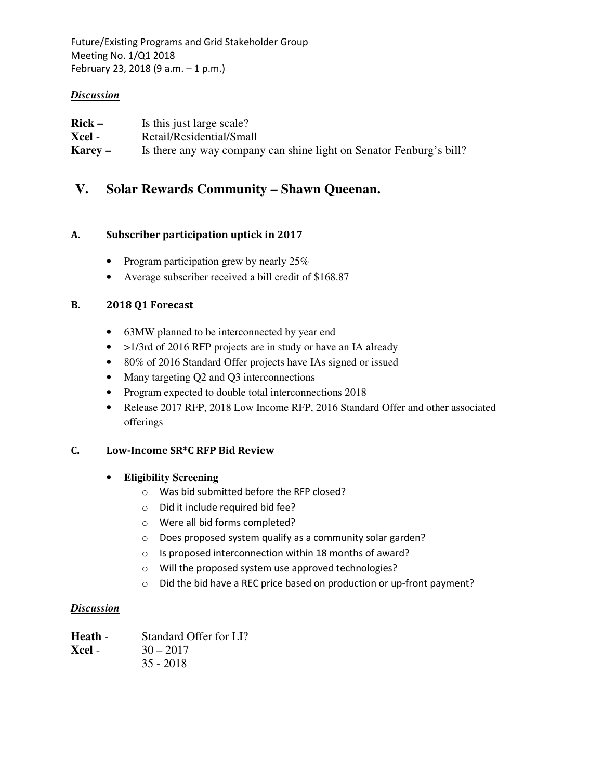### *Discussion*

| $Rick -$ | Is this just large scale?                                           |
|----------|---------------------------------------------------------------------|
| Xcel -   | Retail/Residential/Small                                            |
| Karey –  | Is there any way company can shine light on Senator Fenburg's bill? |

# **V. Solar Rewards Community – Shawn Queenan.**

# **A. Subscriber participation uptick in 2017**

- Program participation grew by nearly 25%
- Average subscriber received a bill credit of \$168.87

### **B. 2018 Q1 Forecast**

- 63MW planned to be interconnected by year end
- >1/3rd of 2016 RFP projects are in study or have an IA already
- 80% of 2016 Standard Offer projects have IAs signed or issued
- Many targeting Q2 and Q3 interconnections
- Program expected to double total interconnections 2018
- Release 2017 RFP, 2018 Low Income RFP, 2016 Standard Offer and other associated offerings

#### **C. Low-Income SR\*C RFP Bid Review**

# • **Eligibility Screening**

- o Was bid submitted before the RFP closed?
- o Did it include required bid fee?
- o Were all bid forms completed?
- o Does proposed system qualify as a community solar garden?
- o Is proposed interconnection within 18 months of award?
- o Will the proposed system use approved technologies?
- o Did the bid have a REC price based on production or up-front payment?

#### *Discussion*

| <b>Heath -</b> | Standard Offer for LI? |
|----------------|------------------------|
| Xcel -         | $30 - 2017$            |
|                | $35 - 2018$            |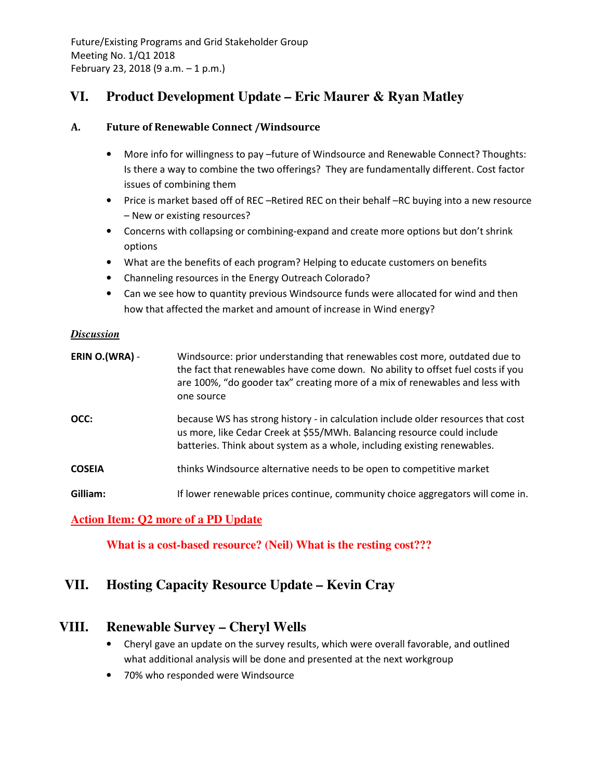# **VI. Product Development Update – Eric Maurer & Ryan Matley**

### **A. Future of Renewable Connect /Windsource**

- More info for willingness to pay –future of Windsource and Renewable Connect? Thoughts: Is there a way to combine the two offerings? They are fundamentally different. Cost factor issues of combining them
- Price is market based off of REC –Retired REC on their behalf –RC buying into a new resource – New or existing resources?
- Concerns with collapsing or combining-expand and create more options but don't shrink options
- What are the benefits of each program? Helping to educate customers on benefits
- Channeling resources in the Energy Outreach Colorado?
- Can we see how to quantity previous Windsource funds were allocated for wind and then how that affected the market and amount of increase in Wind energy?

#### *Discussion*

| ERIN O.(WRA) - | Windsource: prior understanding that renewables cost more, outdated due to<br>the fact that renewables have come down. No ability to offset fuel costs if you<br>are 100%, "do gooder tax" creating more of a mix of renewables and less with<br>one source |
|----------------|-------------------------------------------------------------------------------------------------------------------------------------------------------------------------------------------------------------------------------------------------------------|
| OCC:           | because WS has strong history - in calculation include older resources that cost<br>us more, like Cedar Creek at \$55/MWh. Balancing resource could include<br>batteries. Think about system as a whole, including existing renewables.                     |
| <b>COSEIA</b>  | thinks Windsource alternative needs to be open to competitive market                                                                                                                                                                                        |
| Gilliam:       | If lower renewable prices continue, community choice aggregators will come in.                                                                                                                                                                              |

# **Action Item: Q2 more of a PD Update**

 **What is a cost-based resource? (Neil) What is the resting cost???** 

# **VII. Hosting Capacity Resource Update – Kevin Cray**

# **VIII. Renewable Survey – Cheryl Wells**

- Cheryl gave an update on the survey results, which were overall favorable, and outlined what additional analysis will be done and presented at the next workgroup
- 70% who responded were Windsource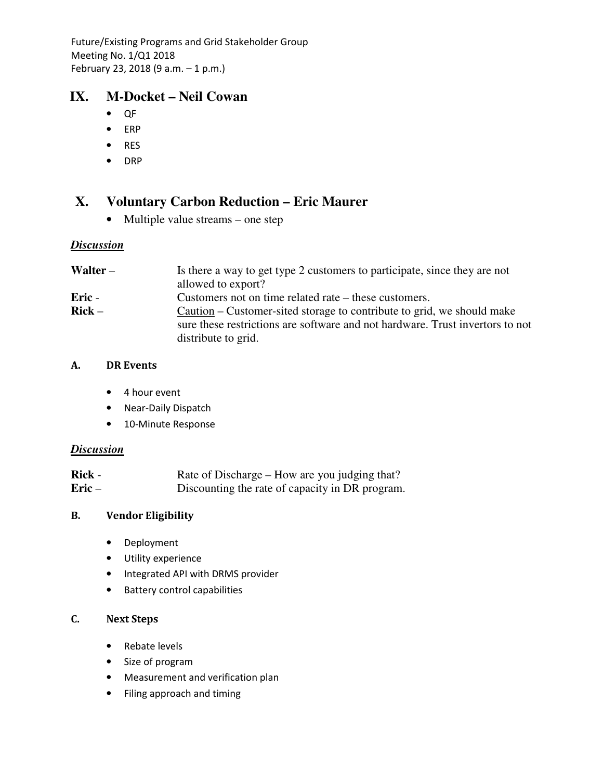# **IX. M-Docket – Neil Cowan**

- QF
- ERP
- RES
- DRP

# **X. Voluntary Carbon Reduction – Eric Maurer**

• Multiple value streams – one step

# *Discussion*

| Walter – | Is there a way to get type 2 customers to participate, since they are not     |
|----------|-------------------------------------------------------------------------------|
|          | allowed to export?                                                            |
| Eric -   | Customers not on time related rate – these customers.                         |
| $Rick -$ | Caution – Customer-sited storage to contribute to grid, we should make        |
|          | sure these restrictions are software and not hardware. Trust invertors to not |
|          | distribute to grid.                                                           |

# **A. DR Events**

- 4 hour event
- Near-Daily Dispatch
- 10-Minute Response

# *Discussion*

| Rick -  | Rate of Discharge – How are you judging that?   |
|---------|-------------------------------------------------|
| $Eric-$ | Discounting the rate of capacity in DR program. |

# **B. Vendor Eligibility**

- Deployment
- Utility experience
- Integrated API with DRMS provider
- Battery control capabilities

# **C. Next Steps**

- Rebate levels
- Size of program
- Measurement and verification plan
- Filing approach and timing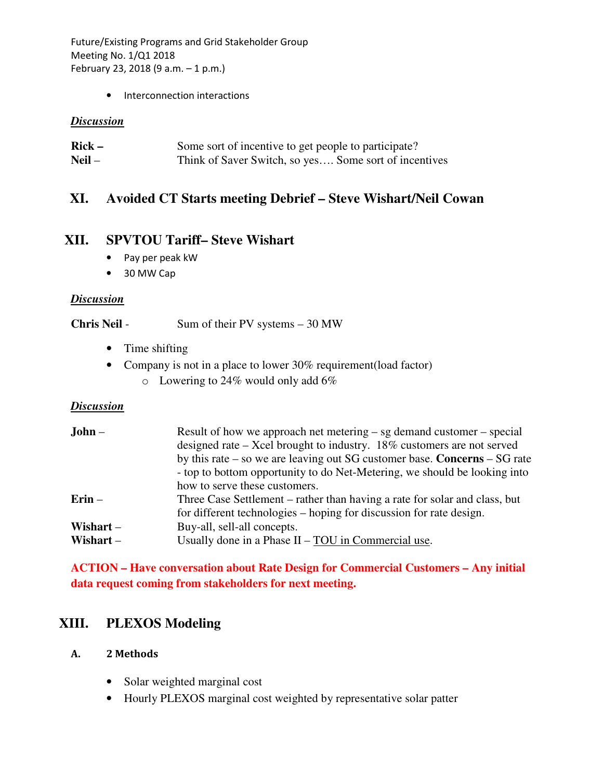• Interconnection interactions

#### *Discussion*

| $Rick -$ | Some sort of incentive to get people to participate?  |
|----------|-------------------------------------------------------|
| $Neil -$ | Think of Saver Switch, so yes Some sort of incentives |

# **XI. Avoided CT Starts meeting Debrief – Steve Wishart/Neil Cowan**

# **XII. SPVTOU Tariff– Steve Wishart**

- Pay per peak kW
- 30 MW Cap

#### *Discussion*

#### **Chris Neil** - Sum of their PV systems – 30 MW

- Time shifting
- Company is not in a place to lower 30% requirement(load factor)
	- $\circ$  Lowering to 24% would only add 6%

#### *Discussion*

| $John -$                   | Result of how we approach net metering $-$ sg demand customer $-$ special<br>designed rate – Xcel brought to industry. 18% customers are not served<br>by this rate $-$ so we are leaving out SG customer base. Concerns $-$ SG rate<br>- top to bottom opportunity to do Net-Metering, we should be looking into |
|----------------------------|-------------------------------------------------------------------------------------------------------------------------------------------------------------------------------------------------------------------------------------------------------------------------------------------------------------------|
| $Erin -$                   | how to serve these customers.<br>Three Case Settlement – rather than having a rate for solar and class, but<br>for different technologies – hoping for discussion for rate design.                                                                                                                                |
| Wishart $-$<br>Wishart $-$ | Buy-all, sell-all concepts.<br>Usually done in a Phase $II - TOU$ in Commercial use.                                                                                                                                                                                                                              |

# **ACTION – Have conversation about Rate Design for Commercial Customers – Any initial data request coming from stakeholders for next meeting.**

# **XIII. PLEXOS Modeling**

#### **A. 2 Methods**

- Solar weighted marginal cost
- Hourly PLEXOS marginal cost weighted by representative solar patter